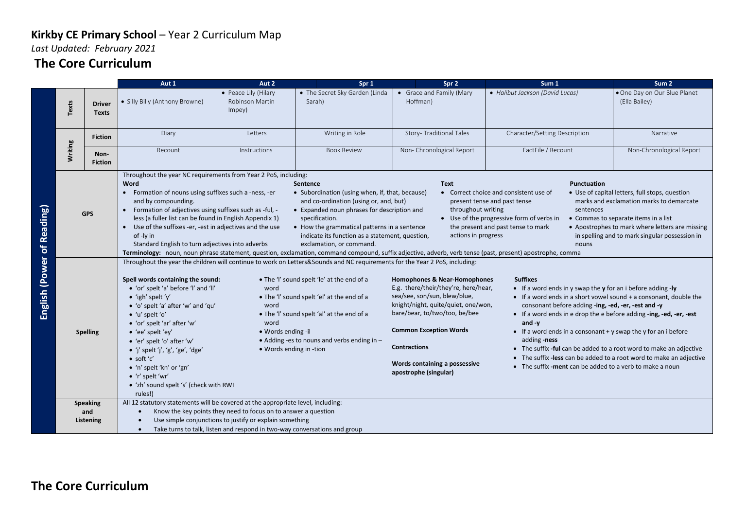*Last Updated: February 2021*

### **The Core Curriculum**

|                                                                                                                                                                                                                                                                                                                                                                                     |            |                                                                                                                                                                                                                                                                                                                                                                                                                                   | Aut 1                                    | Aut 2                                                                                                                                                                                                                                                                                                                                                                                                                                                                                                                                                                                                                                                                                                                                                                                                                                                                                                                                                                                                                                                                                                                                                                                                                                                                                                                                                                                                                                                                                      | Spr 1                                                                                                                                                                                 | Spr 2                                                                                                                                                                                                                                                                                                                                                                                                                                                                                                                                                                                                                                                                                                                                                                                                                                                                                                    | Sum 1                           | Sum <sub>2</sub>                              |  |
|-------------------------------------------------------------------------------------------------------------------------------------------------------------------------------------------------------------------------------------------------------------------------------------------------------------------------------------------------------------------------------------|------------|-----------------------------------------------------------------------------------------------------------------------------------------------------------------------------------------------------------------------------------------------------------------------------------------------------------------------------------------------------------------------------------------------------------------------------------|------------------------------------------|--------------------------------------------------------------------------------------------------------------------------------------------------------------------------------------------------------------------------------------------------------------------------------------------------------------------------------------------------------------------------------------------------------------------------------------------------------------------------------------------------------------------------------------------------------------------------------------------------------------------------------------------------------------------------------------------------------------------------------------------------------------------------------------------------------------------------------------------------------------------------------------------------------------------------------------------------------------------------------------------------------------------------------------------------------------------------------------------------------------------------------------------------------------------------------------------------------------------------------------------------------------------------------------------------------------------------------------------------------------------------------------------------------------------------------------------------------------------------------------------|---------------------------------------------------------------------------------------------------------------------------------------------------------------------------------------|----------------------------------------------------------------------------------------------------------------------------------------------------------------------------------------------------------------------------------------------------------------------------------------------------------------------------------------------------------------------------------------------------------------------------------------------------------------------------------------------------------------------------------------------------------------------------------------------------------------------------------------------------------------------------------------------------------------------------------------------------------------------------------------------------------------------------------------------------------------------------------------------------------|---------------------------------|-----------------------------------------------|--|
|                                                                                                                                                                                                                                                                                                                                                                                     | Texts      | <b>Driver</b><br><b>Texts</b>                                                                                                                                                                                                                                                                                                                                                                                                     | · Silly Billy (Anthony Browne)           | • Peace Lily (Hilary<br>Robinson Martin<br>Impey)                                                                                                                                                                                                                                                                                                                                                                                                                                                                                                                                                                                                                                                                                                                                                                                                                                                                                                                                                                                                                                                                                                                                                                                                                                                                                                                                                                                                                                          | • The Secret Sky Garden (Linda<br>Sarah)                                                                                                                                              | • Grace and Family (Mary<br>Hoffman)                                                                                                                                                                                                                                                                                                                                                                                                                                                                                                                                                                                                                                                                                                                                                                                                                                                                     | • Halibut Jackson (David Lucas) | . One Day on Our Blue Planet<br>(Ella Bailey) |  |
|                                                                                                                                                                                                                                                                                                                                                                                     |            | <b>Fiction</b>                                                                                                                                                                                                                                                                                                                                                                                                                    | Diary                                    | Letters                                                                                                                                                                                                                                                                                                                                                                                                                                                                                                                                                                                                                                                                                                                                                                                                                                                                                                                                                                                                                                                                                                                                                                                                                                                                                                                                                                                                                                                                                    | Writing in Role                                                                                                                                                                       | Story- Traditional Tales                                                                                                                                                                                                                                                                                                                                                                                                                                                                                                                                                                                                                                                                                                                                                                                                                                                                                 | Character/Setting Description   | Narrative                                     |  |
| English (Power of Reading)                                                                                                                                                                                                                                                                                                                                                          | Writing    | Non-<br><b>Fiction</b>                                                                                                                                                                                                                                                                                                                                                                                                            | Recount                                  | <b>Instructions</b>                                                                                                                                                                                                                                                                                                                                                                                                                                                                                                                                                                                                                                                                                                                                                                                                                                                                                                                                                                                                                                                                                                                                                                                                                                                                                                                                                                                                                                                                        | <b>Book Review</b>                                                                                                                                                                    | Non-Chronological Report                                                                                                                                                                                                                                                                                                                                                                                                                                                                                                                                                                                                                                                                                                                                                                                                                                                                                 | FactFile / Recount              | Non-Chronological Report                      |  |
|                                                                                                                                                                                                                                                                                                                                                                                     | <b>GPS</b> |                                                                                                                                                                                                                                                                                                                                                                                                                                   | Word<br>and by compounding.<br>of -ly in | Throughout the year NC requirements from Year 2 PoS, including:<br><b>Punctuation</b><br><b>Sentence</b><br><b>Text</b><br>• Formation of nouns using suffixes such a -ness, -er<br>• Subordination (using when, if, that, because)<br>• Use of capital letters, full stops, question<br>• Correct choice and consistent use of<br>and co-ordination (using or, and, but)<br>marks and exclamation marks to demarcate<br>present tense and past tense<br>Formation of adjectives using suffixes such as -ful, -<br>• Expanded noun phrases for description and<br>throughout writing<br>sentences<br>less (a fuller list can be found in English Appendix 1)<br>specification.<br>• Use of the progressive form of verbs in<br>• Commas to separate items in a list<br>• How the grammatical patterns in a sentence<br>the present and past tense to mark<br>• Apostrophes to mark where letters are missing<br>• Use of the suffixes -er, -est in adjectives and the use<br>indicate its function as a statement, question,<br>actions in progress<br>in spelling and to mark singular possession in<br>Standard English to turn adjectives into adverbs<br>exclamation, or command.<br>nouns<br>Terminology: noun, noun phrase statement, question, exclamation, command compound, suffix adjective, adverb, verb tense (past, present) apostrophe, comma<br>Throughout the year the children will continue to work on Letters&Sounds and NC requirements for the Year 2 PoS, including: |                                                                                                                                                                                       |                                                                                                                                                                                                                                                                                                                                                                                                                                                                                                                                                                                                                                                                                                                                                                                                                                                                                                          |                                 |                                               |  |
|                                                                                                                                                                                                                                                                                                                                                                                     |            | Spell words containing the sound:<br>• 'or' spelt 'a' before 'l' and 'll'<br>$\bullet$ 'igh' spelt 'y'<br>• 'o' spelt 'a' after 'w' and 'qu'<br>$\bullet$ 'u' spelt 'o'<br>• 'or' spelt 'ar' after 'w'<br>• 'ee' spelt 'ey'<br><b>Spelling</b><br>• 'er' spelt 'o' after 'w'<br>• 'j' spelt 'j', 'g', 'ge', 'dge'<br>$\bullet$ soft 'c'<br>• 'n' spelt 'kn' or 'gn'<br>• 'r' spelt 'wr'<br>• 'zh' sound spelt 's' (check with RWI |                                          | word<br>word<br>word<br>• Words ending -il<br>• Words ending in -tion                                                                                                                                                                                                                                                                                                                                                                                                                                                                                                                                                                                                                                                                                                                                                                                                                                                                                                                                                                                                                                                                                                                                                                                                                                                                                                                                                                                                                      | • The 'I' sound spelt 'le' at the end of a<br>• The 'I' sound spelt 'el' at the end of a<br>• The 'I' sound spelt 'al' at the end of a<br>• Adding -es to nouns and verbs ending in - | Homophones & Near-Homophones<br><b>Suffixes</b><br>E.g. there/their/they're, here/hear,<br>• If a word ends in y swap the $\mathbf y$ for an i before adding -ly<br>sea/see, son/sun, blew/blue,<br>• If a word ends in a short vowel sound + a consonant, double the<br>knight/night, quite/quiet, one/won,<br>consonant before adding -ing, -ed, -er, -est and -y<br>bare/bear, to/two/too, be/bee<br>• If a word ends in e drop the e before adding -ing, -ed, -er, -est<br>and $-v$<br><b>Common Exception Words</b><br>• If a word ends in a consonant $+$ y swap the y for an i before<br>adding -ness<br><b>Contractions</b><br>• The suffix -ful can be added to a root word to make an adjective<br>• The suffix - less can be added to a root word to make an adjective<br>Words containing a possessive<br>• The suffix - ment can be added to a verb to make a noun<br>apostrophe (singular) |                                 |                                               |  |
| rules!)<br>All 12 statutory statements will be covered at the appropriate level, including:<br><b>Speaking</b><br>and<br>Know the key points they need to focus on to answer a question<br>$\bullet$<br>Use simple conjunctions to justify or explain something<br>Listening<br>$\bullet$<br>Take turns to talk, listen and respond in two-way conversations and group<br>$\bullet$ |            |                                                                                                                                                                                                                                                                                                                                                                                                                                   |                                          |                                                                                                                                                                                                                                                                                                                                                                                                                                                                                                                                                                                                                                                                                                                                                                                                                                                                                                                                                                                                                                                                                                                                                                                                                                                                                                                                                                                                                                                                                            |                                                                                                                                                                                       |                                                                                                                                                                                                                                                                                                                                                                                                                                                                                                                                                                                                                                                                                                                                                                                                                                                                                                          |                                 |                                               |  |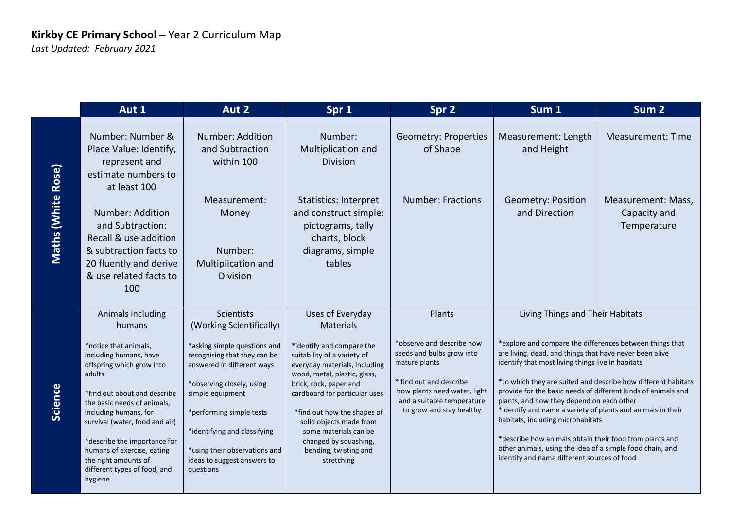|                           | Aut 1                                                                                                                                                                                                                                                                                                                                             | Aut 2                                                                                                                                                                                                                                                                                | Spr 1                                                                                                                                                                                                                                                                                                                                   | Spr 2                                                                                                                                                                                        | Sum 1                                                                                                                                                                                                                                                                                                                                                                                                                                                                                                                                                                                                                              | Sum <sub>2</sub>                                  |
|---------------------------|---------------------------------------------------------------------------------------------------------------------------------------------------------------------------------------------------------------------------------------------------------------------------------------------------------------------------------------------------|--------------------------------------------------------------------------------------------------------------------------------------------------------------------------------------------------------------------------------------------------------------------------------------|-----------------------------------------------------------------------------------------------------------------------------------------------------------------------------------------------------------------------------------------------------------------------------------------------------------------------------------------|----------------------------------------------------------------------------------------------------------------------------------------------------------------------------------------------|------------------------------------------------------------------------------------------------------------------------------------------------------------------------------------------------------------------------------------------------------------------------------------------------------------------------------------------------------------------------------------------------------------------------------------------------------------------------------------------------------------------------------------------------------------------------------------------------------------------------------------|---------------------------------------------------|
|                           | Number: Number &<br>Place Value: Identify,<br>represent and<br>estimate numbers to<br>at least 100                                                                                                                                                                                                                                                | Number: Addition<br>and Subtraction<br>within 100                                                                                                                                                                                                                                    | Number:<br>Multiplication and<br><b>Division</b>                                                                                                                                                                                                                                                                                        | <b>Geometry: Properties</b><br>of Shape                                                                                                                                                      | Measurement: Length<br>and Height                                                                                                                                                                                                                                                                                                                                                                                                                                                                                                                                                                                                  | <b>Measurement: Time</b>                          |
| <b>Maths (White Rose)</b> | Number: Addition<br>and Subtraction:<br>Recall & use addition<br>& subtraction facts to<br>20 fluently and derive<br>& use related facts to<br>100                                                                                                                                                                                                | Measurement:<br>Money<br>Number:<br>Multiplication and<br><b>Division</b>                                                                                                                                                                                                            | <b>Statistics: Interpret</b><br>and construct simple:<br>pictograms, tally<br>charts, block<br>diagrams, simple<br>tables                                                                                                                                                                                                               | <b>Number: Fractions</b>                                                                                                                                                                     | <b>Geometry: Position</b><br>and Direction                                                                                                                                                                                                                                                                                                                                                                                                                                                                                                                                                                                         | Measurement: Mass,<br>Capacity and<br>Temperature |
|                           | Animals including<br>humans                                                                                                                                                                                                                                                                                                                       | <b>Scientists</b><br>(Working Scientifically)                                                                                                                                                                                                                                        | Uses of Everyday<br><b>Materials</b>                                                                                                                                                                                                                                                                                                    | Plants                                                                                                                                                                                       | Living Things and Their Habitats                                                                                                                                                                                                                                                                                                                                                                                                                                                                                                                                                                                                   |                                                   |
| Science                   | *notice that animals,<br>including humans, have<br>offspring which grow into<br>adults<br>*find out about and describe<br>the basic needs of animals,<br>including humans, for<br>survival (water, food and air)<br>*describe the importance for<br>humans of exercise, eating<br>the right amounts of<br>different types of food, and<br>hygiene | *asking simple questions and<br>recognising that they can be<br>answered in different ways<br>*observing closely, using<br>simple equipment<br>*performing simple tests<br>*identifying and classifying<br>*using their observations and<br>ideas to suggest answers to<br>questions | *identify and compare the<br>suitability of a variety of<br>everyday materials, including<br>wood, metal, plastic, glass,<br>brick, rock, paper and<br>cardboard for particular uses<br>*find out how the shapes of<br>solid objects made from<br>some materials can be<br>changed by squashing,<br>bending, twisting and<br>stretching | *observe and describe how<br>seeds and bulbs grow into<br>mature plants<br>* find out and describe<br>how plants need water, light<br>and a suitable temperature<br>to grow and stay healthy | *explore and compare the differences between things that<br>are living, dead, and things that have never been alive<br>identify that most living things live in habitats<br>*to which they are suited and describe how different habitats<br>provide for the basic needs of different kinds of animals and<br>plants, and how they depend on each other<br>*identify and name a variety of plants and animals in their<br>habitats, including microhabitats<br>*describe how animals obtain their food from plants and<br>other animals, using the idea of a simple food chain, and<br>identify and name different sources of food |                                                   |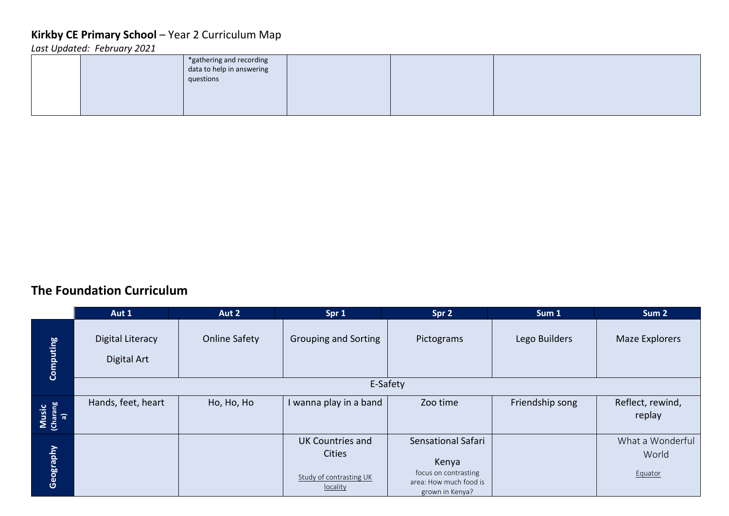*Last Updated: February 2021*

|  | *gathering and recording<br>data to help in answering<br>questions |  |  |
|--|--------------------------------------------------------------------|--|--|
|  |                                                                    |  |  |

#### **The Foundation Curriculum**

|                         | Aut 1                           | Aut 2                | Spr 1                                    | Spr 2                                                   | Sum 1           | Sum <sub>2</sub>           |
|-------------------------|---------------------------------|----------------------|------------------------------------------|---------------------------------------------------------|-----------------|----------------------------|
| <b>Computing</b>        | Digital Literacy<br>Digital Art | <b>Online Safety</b> | <b>Grouping and Sorting</b>              | Pictograms                                              | Lego Builders   | Maze Explorers             |
|                         |                                 |                      | E-Safety                                 |                                                         |                 |                            |
| Music<br>(Charang<br>a) | Hands, feet, heart              | Ho, Ho, Ho           | I wanna play in a band                   | Zoo time                                                | Friendship song | Reflect, rewind,<br>replay |
|                         |                                 |                      | <b>UK Countries and</b>                  | Sensational Safari                                      |                 | What a Wonderful           |
| Geography               |                                 |                      | <b>Cities</b><br>Study of contrasting UK | Kenya<br>focus on contrasting<br>area: How much food is |                 | World<br>Equator           |
|                         |                                 |                      | locality                                 | grown in Kenya?                                         |                 |                            |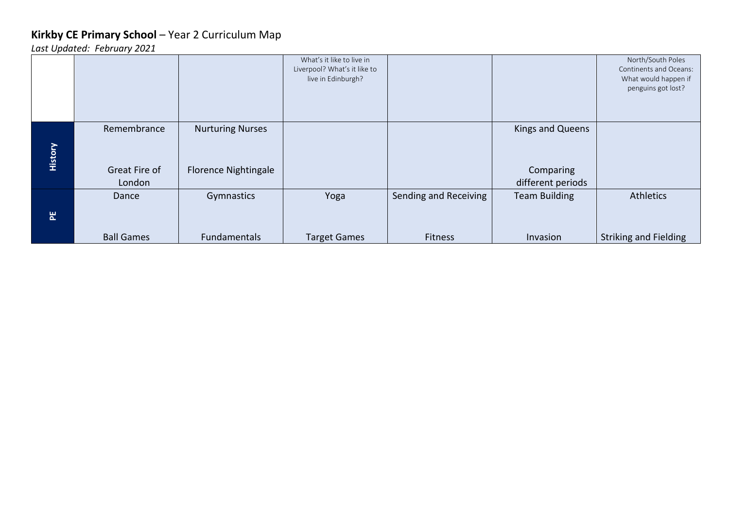|                |                   |                             | What's it like to live in<br>Liverpool? What's it like to |                       |                      | North/South Poles<br>Continents and Oceans: |
|----------------|-------------------|-----------------------------|-----------------------------------------------------------|-----------------------|----------------------|---------------------------------------------|
|                |                   |                             | live in Edinburgh?                                        |                       |                      | What would happen if                        |
|                |                   |                             |                                                           |                       |                      | penguins got lost?                          |
|                |                   |                             |                                                           |                       |                      |                                             |
|                |                   |                             |                                                           |                       |                      |                                             |
|                | Remembrance       | <b>Nurturing Nurses</b>     |                                                           |                       | Kings and Queens     |                                             |
| <b>History</b> | Great Fire of     | <b>Florence Nightingale</b> |                                                           |                       | Comparing            |                                             |
|                | London            |                             |                                                           |                       | different periods    |                                             |
|                | Dance             | Gymnastics                  | Yoga                                                      | Sending and Receiving | <b>Team Building</b> | <b>Athletics</b>                            |
| 문              |                   |                             |                                                           |                       |                      |                                             |
|                | <b>Ball Games</b> | <b>Fundamentals</b>         | <b>Target Games</b>                                       | <b>Fitness</b>        | Invasion             | <b>Striking and Fielding</b>                |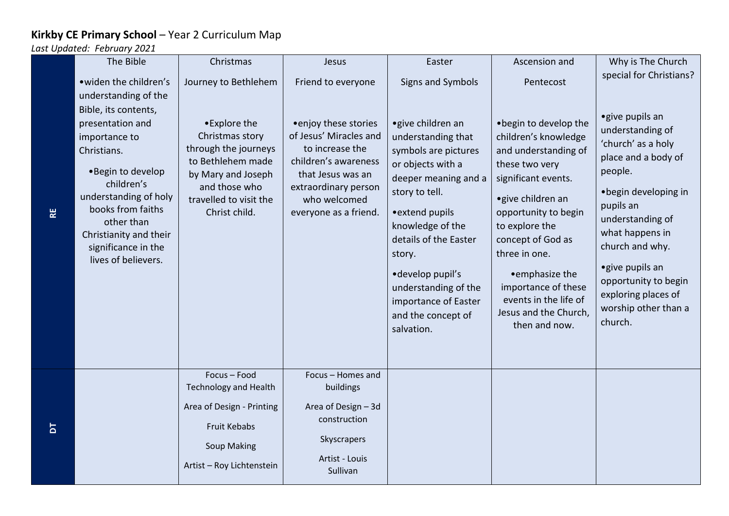|                | The Bible                                                                                                                                                                                                                                                                                         | Christmas                                                                                                                                                                              | Jesus                                                                                                                                                                                                  | Easter                                                                                                                                                                                                                         | Ascension and                                                                                                                                                                                                                     | Why is The Church                                                                                                                                                                                                       |
|----------------|---------------------------------------------------------------------------------------------------------------------------------------------------------------------------------------------------------------------------------------------------------------------------------------------------|----------------------------------------------------------------------------------------------------------------------------------------------------------------------------------------|--------------------------------------------------------------------------------------------------------------------------------------------------------------------------------------------------------|--------------------------------------------------------------------------------------------------------------------------------------------------------------------------------------------------------------------------------|-----------------------------------------------------------------------------------------------------------------------------------------------------------------------------------------------------------------------------------|-------------------------------------------------------------------------------------------------------------------------------------------------------------------------------------------------------------------------|
| R <sub>E</sub> | • widen the children's<br>understanding of the<br>Bible, its contents,<br>presentation and<br>importance to<br>Christians.<br>•Begin to develop<br>children's<br>understanding of holy<br>books from faiths<br>other than<br>Christianity and their<br>significance in the<br>lives of believers. | Journey to Bethlehem<br>•Explore the<br>Christmas story<br>through the journeys<br>to Bethlehem made<br>by Mary and Joseph<br>and those who<br>travelled to visit the<br>Christ child. | Friend to everyone<br>• enjoy these stories<br>of Jesus' Miracles and<br>to increase the<br>children's awareness<br>that Jesus was an<br>extraordinary person<br>who welcomed<br>everyone as a friend. | Signs and Symbols<br>• give children an<br>understanding that<br>symbols are pictures<br>or objects with a<br>deeper meaning and a<br>story to tell.<br>• extend pupils<br>knowledge of the<br>details of the Easter<br>story. | Pentecost<br>.begin to develop the<br>children's knowledge<br>and understanding of<br>these two very<br>significant events.<br>• give children an<br>opportunity to begin<br>to explore the<br>concept of God as<br>three in one. | special for Christians?<br>• give pupils an<br>understanding of<br>'church' as a holy<br>place and a body of<br>people.<br>· begin developing in<br>pupils an<br>understanding of<br>what happens in<br>church and why. |
|                |                                                                                                                                                                                                                                                                                                   |                                                                                                                                                                                        |                                                                                                                                                                                                        | ·develop pupil's<br>understanding of the<br>importance of Easter<br>and the concept of<br>salvation.                                                                                                                           | • emphasize the<br>importance of these<br>events in the life of<br>Jesus and the Church,<br>then and now.                                                                                                                         | • give pupils an<br>opportunity to begin<br>exploring places of<br>worship other than a<br>church.                                                                                                                      |
|                |                                                                                                                                                                                                                                                                                                   | Focus - Food                                                                                                                                                                           | Focus - Homes and                                                                                                                                                                                      |                                                                                                                                                                                                                                |                                                                                                                                                                                                                                   |                                                                                                                                                                                                                         |
|                |                                                                                                                                                                                                                                                                                                   | <b>Technology and Health</b>                                                                                                                                                           | buildings                                                                                                                                                                                              |                                                                                                                                                                                                                                |                                                                                                                                                                                                                                   |                                                                                                                                                                                                                         |
| $\overline{a}$ |                                                                                                                                                                                                                                                                                                   | Area of Design - Printing<br>Fruit Kebabs                                                                                                                                              | Area of Design - 3d<br>construction<br>Skyscrapers                                                                                                                                                     |                                                                                                                                                                                                                                |                                                                                                                                                                                                                                   |                                                                                                                                                                                                                         |
|                |                                                                                                                                                                                                                                                                                                   | <b>Soup Making</b><br>Artist - Roy Lichtenstein                                                                                                                                        | Artist - Louis<br>Sullivan                                                                                                                                                                             |                                                                                                                                                                                                                                |                                                                                                                                                                                                                                   |                                                                                                                                                                                                                         |